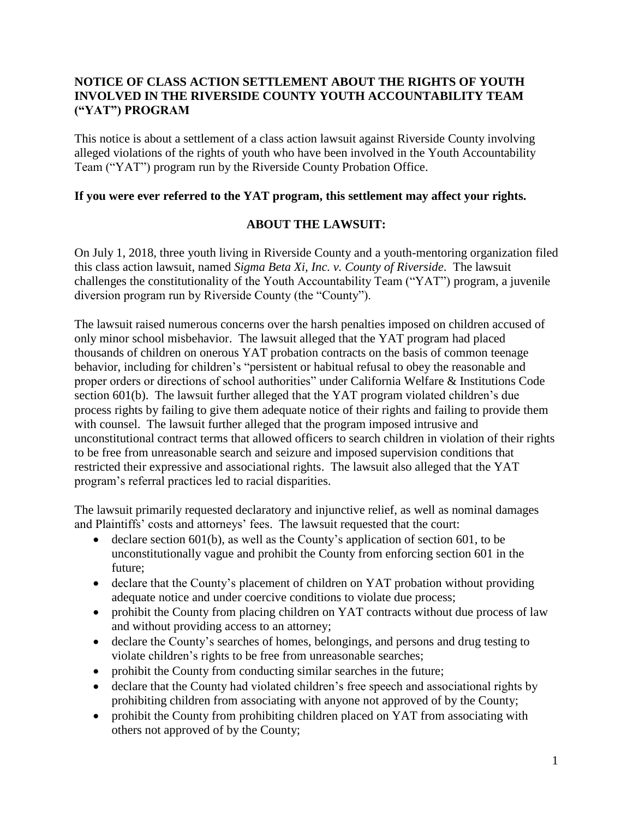## **NOTICE OF CLASS ACTION SETTLEMENT ABOUT THE RIGHTS OF YOUTH INVOLVED IN THE RIVERSIDE COUNTY YOUTH ACCOUNTABILITY TEAM ("YAT") PROGRAM**

This notice is about a settlement of a class action lawsuit against Riverside County involving alleged violations of the rights of youth who have been involved in the Youth Accountability Team ("YAT") program run by the Riverside County Probation Office.

#### **If you were ever referred to the YAT program, this settlement may affect your rights.**

### **ABOUT THE LAWSUIT:**

On July 1, 2018, three youth living in Riverside County and a youth-mentoring organization filed this class action lawsuit, named *Sigma Beta Xi, Inc. v. County of Riverside*. The lawsuit challenges the constitutionality of the Youth Accountability Team ("YAT") program, a juvenile diversion program run by Riverside County (the "County").

The lawsuit raised numerous concerns over the harsh penalties imposed on children accused of only minor school misbehavior. The lawsuit alleged that the YAT program had placed thousands of children on onerous YAT probation contracts on the basis of common teenage behavior, including for children's "persistent or habitual refusal to obey the reasonable and proper orders or directions of school authorities" under California Welfare & Institutions Code section 601(b). The lawsuit further alleged that the YAT program violated children's due process rights by failing to give them adequate notice of their rights and failing to provide them with counsel. The lawsuit further alleged that the program imposed intrusive and unconstitutional contract terms that allowed officers to search children in violation of their rights to be free from unreasonable search and seizure and imposed supervision conditions that restricted their expressive and associational rights. The lawsuit also alleged that the YAT program's referral practices led to racial disparities.

The lawsuit primarily requested declaratory and injunctive relief, as well as nominal damages and Plaintiffs' costs and attorneys' fees. The lawsuit requested that the court:

- declare section 601(b), as well as the County's application of section 601, to be unconstitutionally vague and prohibit the County from enforcing section 601 in the future;
- declare that the County's placement of children on YAT probation without providing adequate notice and under coercive conditions to violate due process;
- prohibit the County from placing children on YAT contracts without due process of law and without providing access to an attorney;
- declare the County's searches of homes, belongings, and persons and drug testing to violate children's rights to be free from unreasonable searches;
- prohibit the County from conducting similar searches in the future;
- declare that the County had violated children's free speech and associational rights by prohibiting children from associating with anyone not approved of by the County;
- prohibit the County from prohibiting children placed on YAT from associating with others not approved of by the County;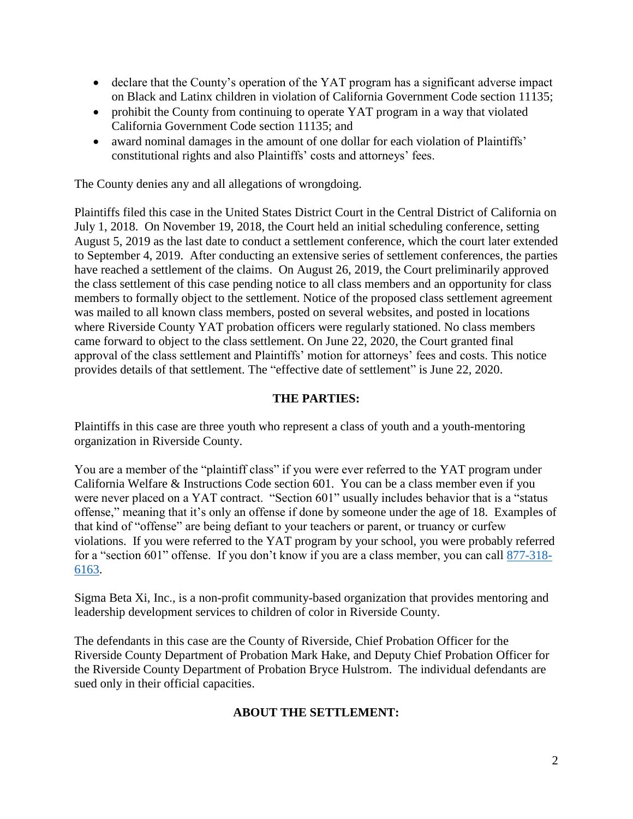- declare that the County's operation of the YAT program has a significant adverse impact on Black and Latinx children in violation of California Government Code section 11135;
- prohibit the County from continuing to operate YAT program in a way that violated California Government Code section 11135; and
- award nominal damages in the amount of one dollar for each violation of Plaintiffs' constitutional rights and also Plaintiffs' costs and attorneys' fees.

The County denies any and all allegations of wrongdoing.

Plaintiffs filed this case in the United States District Court in the Central District of California on July 1, 2018. On November 19, 2018, the Court held an initial scheduling conference, setting August 5, 2019 as the last date to conduct a settlement conference, which the court later extended to September 4, 2019. After conducting an extensive series of settlement conferences, the parties have reached a settlement of the claims. On August 26, 2019, the Court preliminarily approved the class settlement of this case pending notice to all class members and an opportunity for class members to formally object to the settlement. Notice of the proposed class settlement agreement was mailed to all known class members, posted on several websites, and posted in locations where Riverside County YAT probation officers were regularly stationed. No class members came forward to object to the class settlement. On June 22, 2020, the Court granted final approval of the class settlement and Plaintiffs' motion for attorneys' fees and costs. This notice provides details of that settlement. The "effective date of settlement" is June 22, 2020.

#### **THE PARTIES:**

Plaintiffs in this case are three youth who represent a class of youth and a youth-mentoring organization in Riverside County.

You are a member of the "plaintiff class" if you were ever referred to the YAT program under California Welfare & Instructions Code section 601. You can be a class member even if you were never placed on a YAT contract. "Section 601" usually includes behavior that is a "status offense," meaning that it's only an offense if done by someone under the age of 18. Examples of that kind of "offense" are being defiant to your teachers or parent, or truancy or curfew violations. If you were referred to the YAT program by your school, you were probably referred for a "section 601" offense. If you don't know if you are a class member, you can call [877-318-](tel:877-318-6163) [6163.](tel:877-318-6163)

Sigma Beta Xi, Inc., is a non-profit community-based organization that provides mentoring and leadership development services to children of color in Riverside County.

The defendants in this case are the County of Riverside, Chief Probation Officer for the Riverside County Department of Probation Mark Hake, and Deputy Chief Probation Officer for the Riverside County Department of Probation Bryce Hulstrom. The individual defendants are sued only in their official capacities.

### **ABOUT THE SETTLEMENT:**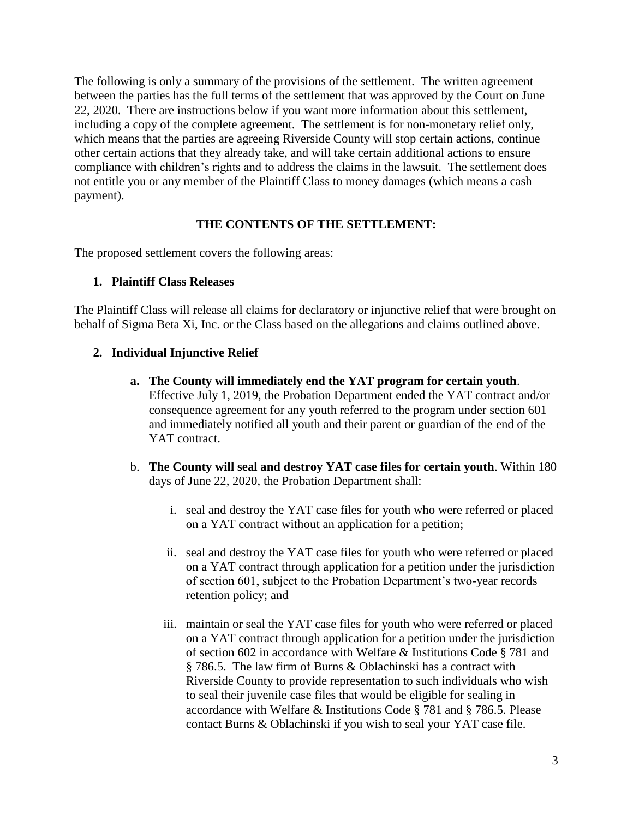The following is only a summary of the provisions of the settlement. The written agreement between the parties has the full terms of the settlement that was approved by the Court on June 22, 2020. There are instructions below if you want more information about this settlement, including a copy of the complete agreement. The settlement is for non-monetary relief only, which means that the parties are agreeing Riverside County will stop certain actions, continue other certain actions that they already take, and will take certain additional actions to ensure compliance with children's rights and to address the claims in the lawsuit. The settlement does not entitle you or any member of the Plaintiff Class to money damages (which means a cash payment).

### **THE CONTENTS OF THE SETTLEMENT:**

The proposed settlement covers the following areas:

### **1. Plaintiff Class Releases**

The Plaintiff Class will release all claims for declaratory or injunctive relief that were brought on behalf of Sigma Beta Xi, Inc. or the Class based on the allegations and claims outlined above.

### **2. Individual Injunctive Relief**

- **a. The County will immediately end the YAT program for certain youth**. Effective July 1, 2019, the Probation Department ended the YAT contract and/or consequence agreement for any youth referred to the program under section 601 and immediately notified all youth and their parent or guardian of the end of the YAT contract.
- b. **The County will seal and destroy YAT case files for certain youth**. Within 180 days of June 22, 2020, the Probation Department shall:
	- i. seal and destroy the YAT case files for youth who were referred or placed on a YAT contract without an application for a petition;
	- ii. seal and destroy the YAT case files for youth who were referred or placed on a YAT contract through application for a petition under the jurisdiction of section 601, subject to the Probation Department's two-year records retention policy; and
	- iii. maintain or seal the YAT case files for youth who were referred or placed on a YAT contract through application for a petition under the jurisdiction of section 602 in accordance with Welfare & Institutions Code § 781 and § 786.5. The law firm of Burns & Oblachinski has a contract with Riverside County to provide representation to such individuals who wish to seal their juvenile case files that would be eligible for sealing in accordance with Welfare & Institutions Code § 781 and § 786.5. Please contact Burns & Oblachinski if you wish to seal your YAT case file.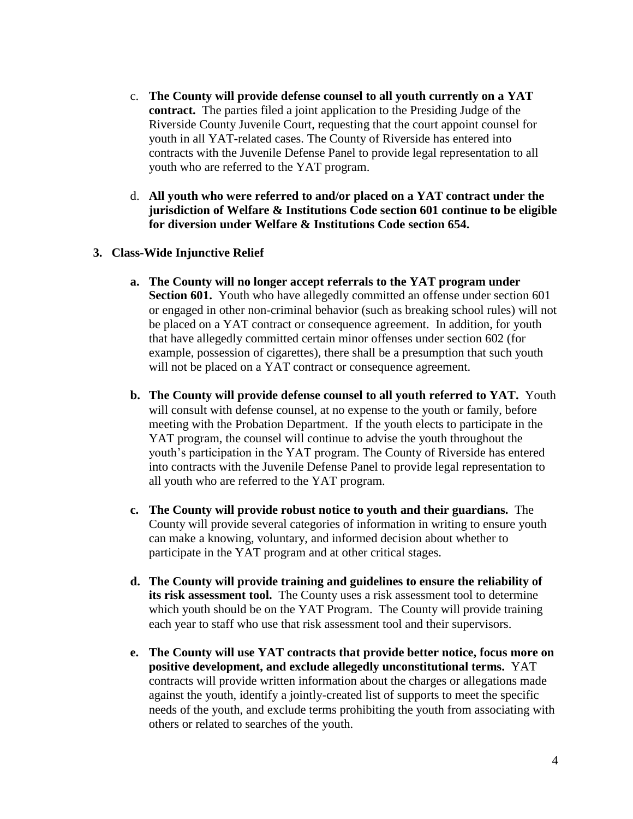- c. **The County will provide defense counsel to all youth currently on a YAT contract.** The parties filed a joint application to the Presiding Judge of the Riverside County Juvenile Court, requesting that the court appoint counsel for youth in all YAT-related cases. The County of Riverside has entered into contracts with the Juvenile Defense Panel to provide legal representation to all youth who are referred to the YAT program.
- d. **All youth who were referred to and/or placed on a YAT contract under the jurisdiction of Welfare & Institutions Code section 601 continue to be eligible for diversion under Welfare & Institutions Code section 654.**
- **3. Class-Wide Injunctive Relief**
	- **a. The County will no longer accept referrals to the YAT program under Section 601.** Youth who have allegedly committed an offense under section 601 or engaged in other non-criminal behavior (such as breaking school rules) will not be placed on a YAT contract or consequence agreement. In addition, for youth that have allegedly committed certain minor offenses under section 602 (for example, possession of cigarettes), there shall be a presumption that such youth will not be placed on a YAT contract or consequence agreement.
	- **b. The County will provide defense counsel to all youth referred to YAT.** Youth will consult with defense counsel, at no expense to the youth or family, before meeting with the Probation Department. If the youth elects to participate in the YAT program, the counsel will continue to advise the youth throughout the youth's participation in the YAT program. The County of Riverside has entered into contracts with the Juvenile Defense Panel to provide legal representation to all youth who are referred to the YAT program.
	- **c. The County will provide robust notice to youth and their guardians.** The County will provide several categories of information in writing to ensure youth can make a knowing, voluntary, and informed decision about whether to participate in the YAT program and at other critical stages.
	- **d. The County will provide training and guidelines to ensure the reliability of its risk assessment tool.** The County uses a risk assessment tool to determine which youth should be on the YAT Program. The County will provide training each year to staff who use that risk assessment tool and their supervisors.
	- **e. The County will use YAT contracts that provide better notice, focus more on positive development, and exclude allegedly unconstitutional terms.** YAT contracts will provide written information about the charges or allegations made against the youth, identify a jointly-created list of supports to meet the specific needs of the youth, and exclude terms prohibiting the youth from associating with others or related to searches of the youth.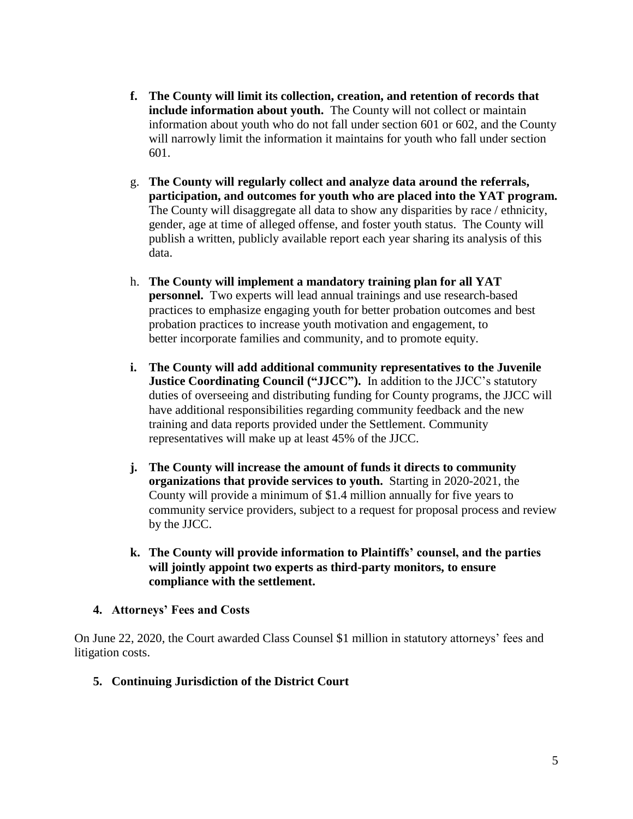- **f. The County will limit its collection, creation, and retention of records that include information about youth.** The County will not collect or maintain information about youth who do not fall under section 601 or 602, and the County will narrowly limit the information it maintains for youth who fall under section 601.
- g. **The County will regularly collect and analyze data around the referrals, participation, and outcomes for youth who are placed into the YAT program.**  The County will disaggregate all data to show any disparities by race / ethnicity, gender, age at time of alleged offense, and foster youth status. The County will publish a written, publicly available report each year sharing its analysis of this data.
- h. **The County will implement a mandatory training plan for all YAT personnel.** Two experts will lead annual trainings and use research-based practices to emphasize engaging youth for better probation outcomes and best probation practices to increase youth motivation and engagement, to better incorporate families and community, and to promote equity.
- **i. The County will add additional community representatives to the Juvenile Justice Coordinating Council ("JJCC").** In addition to the JJCC's statutory duties of overseeing and distributing funding for County programs, the JJCC will have additional responsibilities regarding community feedback and the new training and data reports provided under the Settlement. Community representatives will make up at least 45% of the JJCC.
- **j. The County will increase the amount of funds it directs to community organizations that provide services to youth.** Starting in 2020-2021, the County will provide a minimum of \$1.4 million annually for five years to community service providers, subject to a request for proposal process and review by the JJCC.
- **k. The County will provide information to Plaintiffs' counsel, and the parties will jointly appoint two experts as third-party monitors, to ensure compliance with the settlement.**
- **4. Attorneys' Fees and Costs**

On June 22, 2020, the Court awarded Class Counsel \$1 million in statutory attorneys' fees and litigation costs.

**5. Continuing Jurisdiction of the District Court**